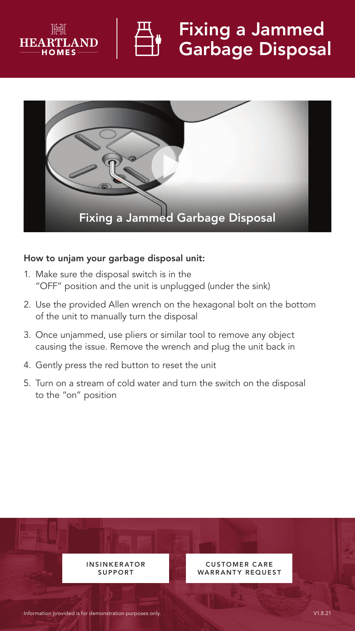



## Fixing a Jammed Garbage Disposal



## How to unjam your garbage disposal unit:

- 1. Make sure the disposal switch is in the "OFF" position and the unit is unplugged (under the sink)
- 2. Use the provided Allen wrench on the hexagonal bolt on the bottom of the unit to manually turn the disposal
- 3. Once unjammed, use pliers or similar tool to remove any object causing the issue. Remove the wrench and plug the unit back in
- 4. Gently press the red button to reset the unit
- 5. Turn on a stream of cold water and turn the switch on the disposal to the "on" position